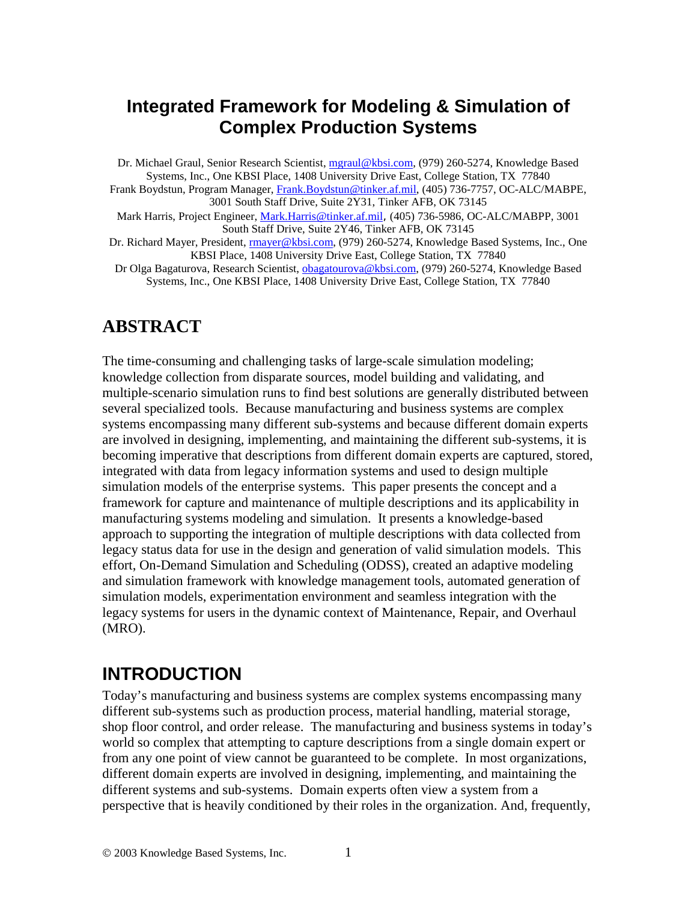## **Integrated Framework for Modeling & Simulation of Complex Production Systems**

Dr. Michael Graul, Senior Research Scientist, mgraul@kbsi.com, (979) 260-5274, Knowledge Based Systems, Inc., One KBSI Place, 1408 University Drive East, College Station, TX 77840 Frank Boydstun, Program Manager, Frank.Boydstun@tinker.af.mil, (405) 736-7757, OC-ALC/MABPE, 3001 South Staff Drive, Suite 2Y31, Tinker AFB, OK 73145 Mark Harris, Project Engineer, Mark.Harris@tinker.af.mil, (405) 736-5986, OC-ALC/MABPP, 3001

South Staff Drive, Suite 2Y46, Tinker AFB, OK 73145

Dr. Richard Mayer, President, rmayer@kbsi.com, (979) 260-5274, Knowledge Based Systems, Inc., One KBSI Place, 1408 University Drive East, College Station, TX 77840

Dr Olga Bagaturova, Research Scientist, obagatourova@kbsi.com, (979) 260-5274, Knowledge Based Systems, Inc., One KBSI Place, 1408 University Drive East, College Station, TX 77840

## **ABSTRACT**

The time-consuming and challenging tasks of large-scale simulation modeling; knowledge collection from disparate sources, model building and validating, and multiple-scenario simulation runs to find best solutions are generally distributed between several specialized tools. Because manufacturing and business systems are complex systems encompassing many different sub-systems and because different domain experts are involved in designing, implementing, and maintaining the different sub-systems, it is becoming imperative that descriptions from different domain experts are captured, stored, integrated with data from legacy information systems and used to design multiple simulation models of the enterprise systems. This paper presents the concept and a framework for capture and maintenance of multiple descriptions and its applicability in manufacturing systems modeling and simulation. It presents a knowledge-based approach to supporting the integration of multiple descriptions with data collected from legacy status data for use in the design and generation of valid simulation models. This effort, On-Demand Simulation and Scheduling (ODSS), created an adaptive modeling and simulation framework with knowledge management tools, automated generation of simulation models, experimentation environment and seamless integration with the legacy systems for users in the dynamic context of Maintenance, Repair, and Overhaul (MRO).

# **INTRODUCTION**

Today's manufacturing and business systems are complex systems encompassing many different sub-systems such as production process, material handling, material storage, shop floor control, and order release. The manufacturing and business systems in today's world so complex that attempting to capture descriptions from a single domain expert or from any one point of view cannot be guaranteed to be complete. In most organizations, different domain experts are involved in designing, implementing, and maintaining the different systems and sub-systems. Domain experts often view a system from a perspective that is heavily conditioned by their roles in the organization. And, frequently,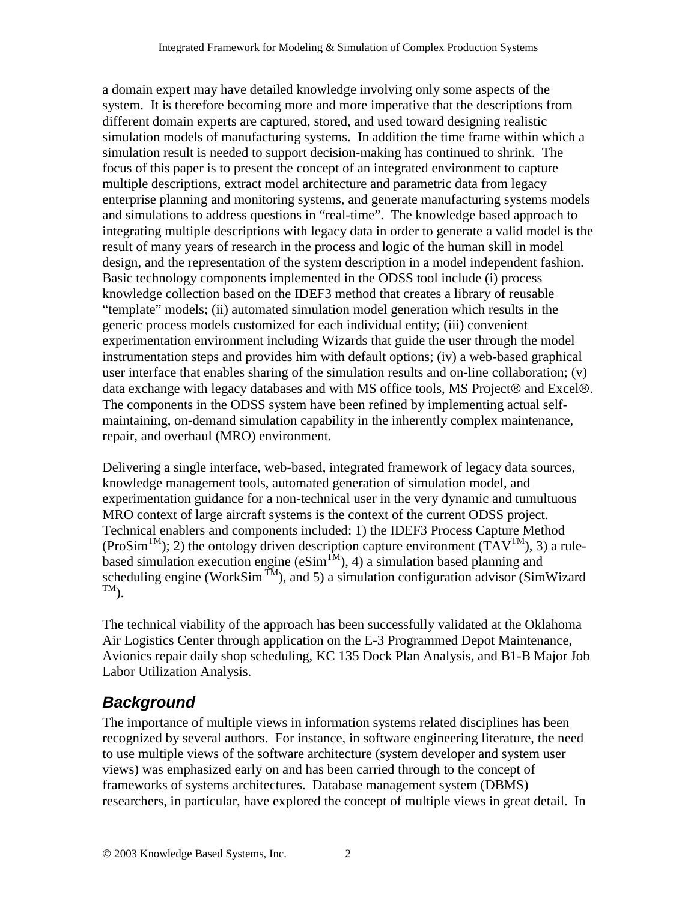a domain expert may have detailed knowledge involving only some aspects of the system. It is therefore becoming more and more imperative that the descriptions from different domain experts are captured, stored, and used toward designing realistic simulation models of manufacturing systems. In addition the time frame within which a simulation result is needed to support decision-making has continued to shrink. The focus of this paper is to present the concept of an integrated environment to capture multiple descriptions, extract model architecture and parametric data from legacy enterprise planning and monitoring systems, and generate manufacturing systems models and simulations to address questions in "real-time". The knowledge based approach to integrating multiple descriptions with legacy data in order to generate a valid model is the result of many years of research in the process and logic of the human skill in model design, and the representation of the system description in a model independent fashion. Basic technology components implemented in the ODSS tool include (i) process knowledge collection based on the IDEF3 method that creates a library of reusable "template" models; (ii) automated simulation model generation which results in the generic process models customized for each individual entity; (iii) convenient experimentation environment including Wizards that guide the user through the model instrumentation steps and provides him with default options; (iv) a web-based graphical user interface that enables sharing of the simulation results and on-line collaboration; (v) data exchange with legacy databases and with MS office tools, MS Project $\odot$  and Excel $\odot$ . The components in the ODSS system have been refined by implementing actual selfmaintaining, on-demand simulation capability in the inherently complex maintenance, repair, and overhaul (MRO) environment.

Delivering a single interface, web-based, integrated framework of legacy data sources, knowledge management tools, automated generation of simulation model, and experimentation guidance for a non-technical user in the very dynamic and tumultuous MRO context of large aircraft systems is the context of the current ODSS project. Technical enablers and components included: 1) the IDEF3 Process Capture Method  $(ProSim<sup>TM</sup>)$ ; 2) the ontology driven description capture environment  $(TAV<sup>TM</sup>)$ , 3) a rulebased simulation execution engine ( $eSim<sup>TM</sup>$ ), 4) a simulation based planning and scheduling engine (WorkSim<sup>TM</sup>), and 5) a simulation configuration advisor (SimWizard  $TM$ ).

The technical viability of the approach has been successfully validated at the Oklahoma Air Logistics Center through application on the E-3 Programmed Depot Maintenance, Avionics repair daily shop scheduling, KC 135 Dock Plan Analysis, and B1-B Major Job Labor Utilization Analysis.

## *Background*

The importance of multiple views in information systems related disciplines has been recognized by several authors. For instance, in software engineering literature, the need to use multiple views of the software architecture (system developer and system user views) was emphasized early on and has been carried through to the concept of frameworks of systems architectures. Database management system (DBMS) researchers, in particular, have explored the concept of multiple views in great detail. In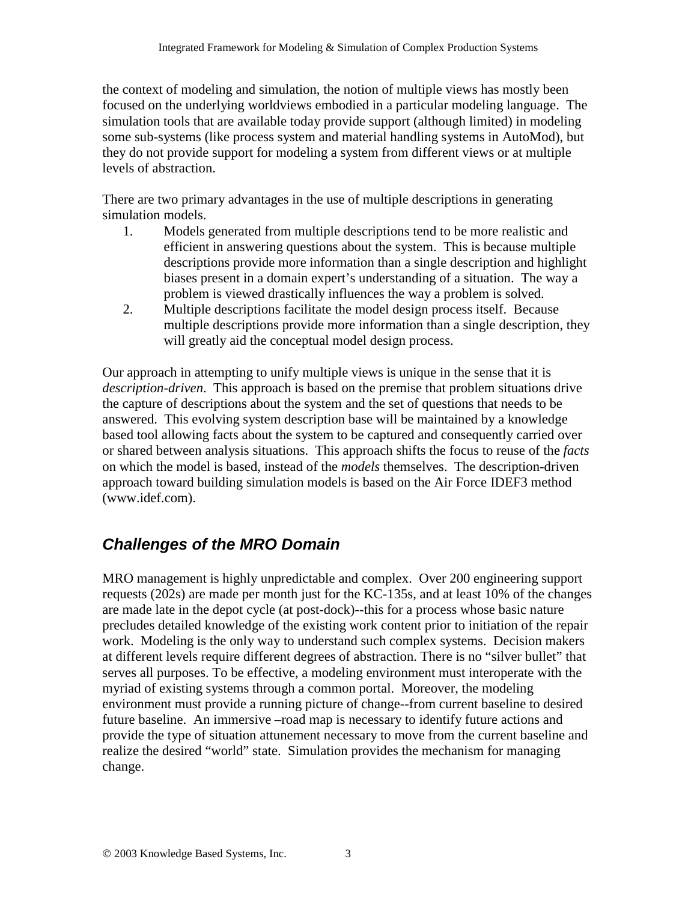the context of modeling and simulation, the notion of multiple views has mostly been focused on the underlying worldviews embodied in a particular modeling language. The simulation tools that are available today provide support (although limited) in modeling some sub-systems (like process system and material handling systems in AutoMod), but they do not provide support for modeling a system from different views or at multiple levels of abstraction.

There are two primary advantages in the use of multiple descriptions in generating simulation models.

- 1. Models generated from multiple descriptions tend to be more realistic and efficient in answering questions about the system. This is because multiple descriptions provide more information than a single description and highlight biases present in a domain expert's understanding of a situation. The way a problem is viewed drastically influences the way a problem is solved.
- 2. Multiple descriptions facilitate the model design process itself. Because multiple descriptions provide more information than a single description, they will greatly aid the conceptual model design process.

Our approach in attempting to unify multiple views is unique in the sense that it is *description-driven*. This approach is based on the premise that problem situations drive the capture of descriptions about the system and the set of questions that needs to be answered. This evolving system description base will be maintained by a knowledge based tool allowing facts about the system to be captured and consequently carried over or shared between analysis situations. This approach shifts the focus to reuse of the *facts* on which the model is based, instead of the *models* themselves. The description-driven approach toward building simulation models is based on the Air Force IDEF3 method (www.idef.com).

# *Challenges of the MRO Domain*

MRO management is highly unpredictable and complex. Over 200 engineering support requests (202s) are made per month just for the KC-135s, and at least 10% of the changes are made late in the depot cycle (at post-dock)--this for a process whose basic nature precludes detailed knowledge of the existing work content prior to initiation of the repair work. Modeling is the only way to understand such complex systems. Decision makers at different levels require different degrees of abstraction. There is no "silver bullet" that serves all purposes. To be effective, a modeling environment must interoperate with the myriad of existing systems through a common portal. Moreover, the modeling environment must provide a running picture of change--from current baseline to desired future baseline. An immersive –road map is necessary to identify future actions and provide the type of situation attunement necessary to move from the current baseline and realize the desired "world" state. Simulation provides the mechanism for managing change.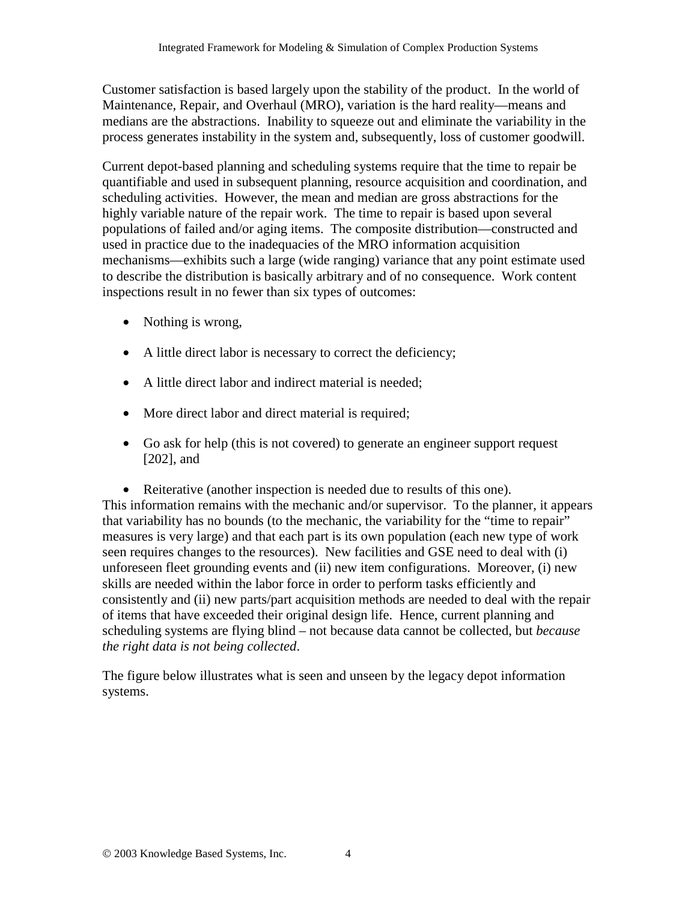Customer satisfaction is based largely upon the stability of the product. In the world of Maintenance, Repair, and Overhaul (MRO), variation is the hard reality—means and medians are the abstractions. Inability to squeeze out and eliminate the variability in the process generates instability in the system and, subsequently, loss of customer goodwill.

Current depot-based planning and scheduling systems require that the time to repair be quantifiable and used in subsequent planning, resource acquisition and coordination, and scheduling activities. However, the mean and median are gross abstractions for the highly variable nature of the repair work. The time to repair is based upon several populations of failed and/or aging items. The composite distribution—constructed and used in practice due to the inadequacies of the MRO information acquisition mechanisms—exhibits such a large (wide ranging) variance that any point estimate used to describe the distribution is basically arbitrary and of no consequence. Work content inspections result in no fewer than six types of outcomes:

- Nothing is wrong,
- A little direct labor is necessary to correct the deficiency;
- A little direct labor and indirect material is needed:
- More direct labor and direct material is required;
- Go ask for help (this is not covered) to generate an engineer support request [202], and

• Reiterative (another inspection is needed due to results of this one). This information remains with the mechanic and/or supervisor. To the planner, it appears that variability has no bounds (to the mechanic, the variability for the "time to repair" measures is very large) and that each part is its own population (each new type of work seen requires changes to the resources). New facilities and GSE need to deal with (i) unforeseen fleet grounding events and (ii) new item configurations. Moreover, (i) new skills are needed within the labor force in order to perform tasks efficiently and consistently and (ii) new parts/part acquisition methods are needed to deal with the repair of items that have exceeded their original design life. Hence, current planning and scheduling systems are flying blind – not because data cannot be collected, but *because the right data is not being collected*.

The figure below illustrates what is seen and unseen by the legacy depot information systems.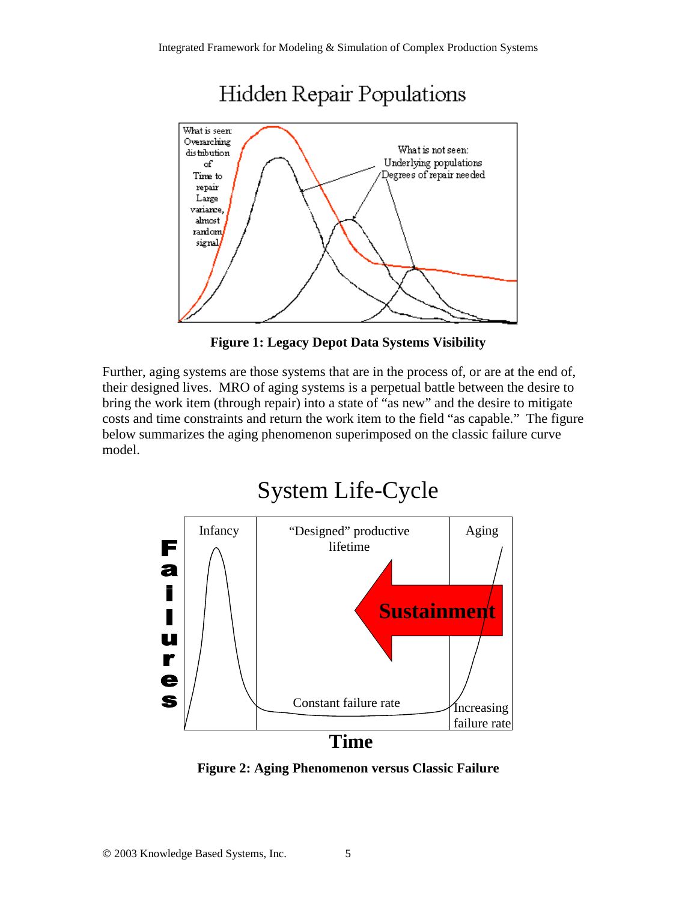

**Figure 1: Legacy Depot Data Systems Visibility**

Further, aging systems are those systems that are in the process of, or are at the end of, their designed lives. MRO of aging systems is a perpetual battle between the desire to bring the work item (through repair) into a state of "as new" and the desire to mitigate costs and time constraints and return the work item to the field "as capable." The figure below summarizes the aging phenomenon superimposed on the classic failure curve model.



**Figure 2: Aging Phenomenon versus Classic Failure**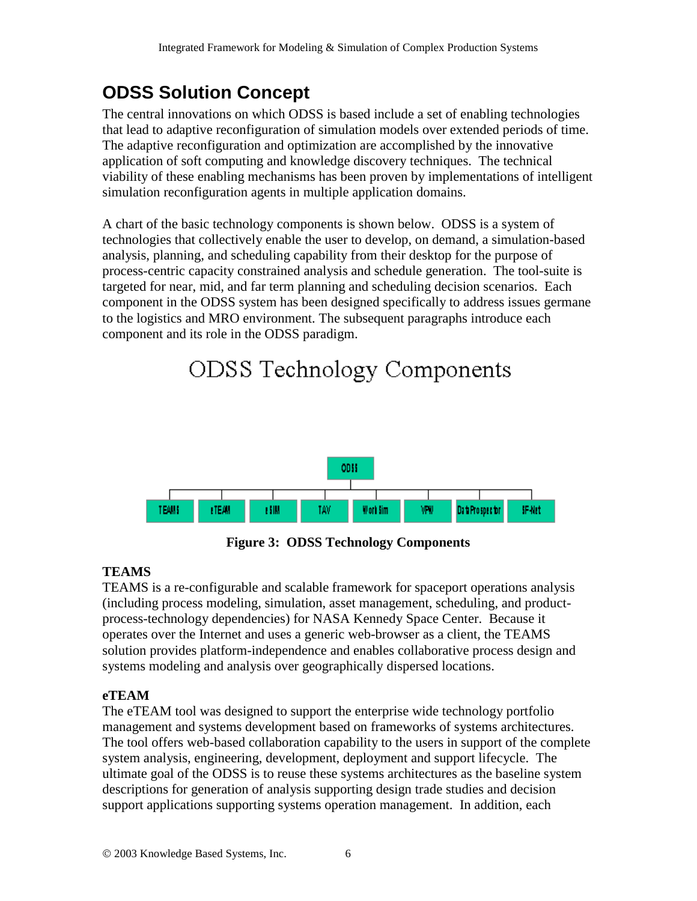# **ODSS Solution Concept**

The central innovations on which ODSS is based include a set of enabling technologies that lead to adaptive reconfiguration of simulation models over extended periods of time. The adaptive reconfiguration and optimization are accomplished by the innovative application of soft computing and knowledge discovery techniques. The technical viability of these enabling mechanisms has been proven by implementations of intelligent simulation reconfiguration agents in multiple application domains.

A chart of the basic technology components is shown below. ODSS is a system of technologies that collectively enable the user to develop, on demand, a simulation-based analysis, planning, and scheduling capability from their desktop for the purpose of process-centric capacity constrained analysis and schedule generation. The tool-suite is targeted for near, mid, and far term planning and scheduling decision scenarios. Each component in the ODSS system has been designed specifically to address issues germane to the logistics and MRO environment. The subsequent paragraphs introduce each component and its role in the ODSS paradigm.

# ODSS Technology Components



**Figure 3: ODSS Technology Components**

## **TEAMS**

TEAMS is a re-configurable and scalable framework for spaceport operations analysis (including process modeling, simulation, asset management, scheduling, and productprocess-technology dependencies) for NASA Kennedy Space Center. Because it operates over the Internet and uses a generic web-browser as a client, the TEAMS solution provides platform-independence and enables collaborative process design and systems modeling and analysis over geographically dispersed locations.

## **eTEAM**

The eTEAM tool was designed to support the enterprise wide technology portfolio management and systems development based on frameworks of systems architectures. The tool offers web-based collaboration capability to the users in support of the complete system analysis, engineering, development, deployment and support lifecycle. The ultimate goal of the ODSS is to reuse these systems architectures as the baseline system descriptions for generation of analysis supporting design trade studies and decision support applications supporting systems operation management. In addition, each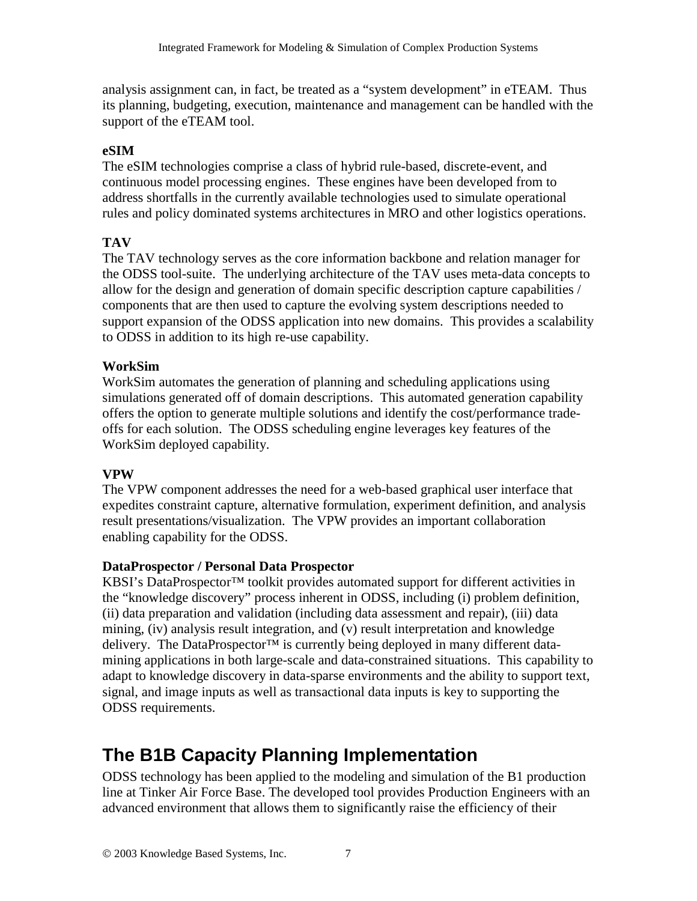analysis assignment can, in fact, be treated as a "system development" in eTEAM. Thus its planning, budgeting, execution, maintenance and management can be handled with the support of the eTEAM tool.

#### **eSIM**

The eSIM technologies comprise a class of hybrid rule-based, discrete-event, and continuous model processing engines. These engines have been developed from to address shortfalls in the currently available technologies used to simulate operational rules and policy dominated systems architectures in MRO and other logistics operations.

#### **TAV**

The TAV technology serves as the core information backbone and relation manager for the ODSS tool-suite. The underlying architecture of the TAV uses meta-data concepts to allow for the design and generation of domain specific description capture capabilities / components that are then used to capture the evolving system descriptions needed to support expansion of the ODSS application into new domains. This provides a scalability to ODSS in addition to its high re-use capability.

#### **WorkSim**

WorkSim automates the generation of planning and scheduling applications using simulations generated off of domain descriptions. This automated generation capability offers the option to generate multiple solutions and identify the cost/performance tradeoffs for each solution. The ODSS scheduling engine leverages key features of the WorkSim deployed capability.

#### **VPW**

The VPW component addresses the need for a web-based graphical user interface that expedites constraint capture, alternative formulation, experiment definition, and analysis result presentations/visualization. The VPW provides an important collaboration enabling capability for the ODSS.

#### **DataProspector / Personal Data Prospector**

KBSI's DataProspector™ toolkit provides automated support for different activities in the "knowledge discovery" process inherent in ODSS, including (i) problem definition, (ii) data preparation and validation (including data assessment and repair), (iii) data mining, (iv) analysis result integration, and (v) result interpretation and knowledge delivery. The DataProspector<sup>™</sup> is currently being deployed in many different datamining applications in both large-scale and data-constrained situations. This capability to adapt to knowledge discovery in data-sparse environments and the ability to support text, signal, and image inputs as well as transactional data inputs is key to supporting the ODSS requirements.

# **The B1B Capacity Planning Implementation**

ODSS technology has been applied to the modeling and simulation of the B1 production line at Tinker Air Force Base. The developed tool provides Production Engineers with an advanced environment that allows them to significantly raise the efficiency of their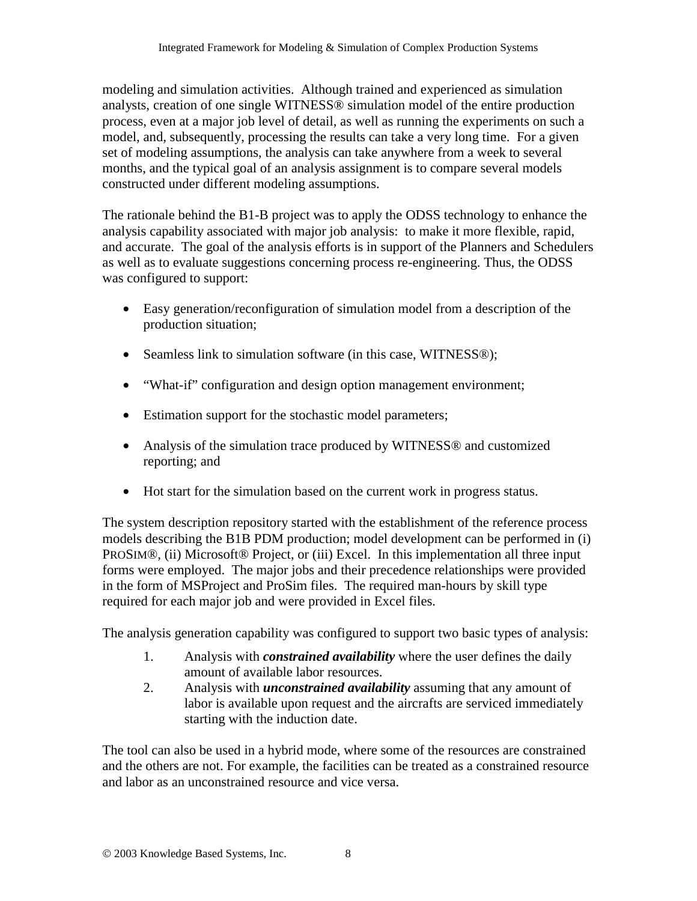modeling and simulation activities. Although trained and experienced as simulation analysts, creation of one single WITNESS® simulation model of the entire production process, even at a major job level of detail, as well as running the experiments on such a model, and, subsequently, processing the results can take a very long time. For a given set of modeling assumptions, the analysis can take anywhere from a week to several months, and the typical goal of an analysis assignment is to compare several models constructed under different modeling assumptions.

The rationale behind the B1-B project was to apply the ODSS technology to enhance the analysis capability associated with major job analysis: to make it more flexible, rapid, and accurate. The goal of the analysis efforts is in support of the Planners and Schedulers as well as to evaluate suggestions concerning process re-engineering. Thus, the ODSS was configured to support:

- Easy generation/reconfiguration of simulation model from a description of the production situation;
- Seamless link to simulation software (in this case, WITNESS®);
- "What-if" configuration and design option management environment;
- Estimation support for the stochastic model parameters;
- Analysis of the simulation trace produced by WITNESS<sup>®</sup> and customized reporting; and
- Hot start for the simulation based on the current work in progress status.

The system description repository started with the establishment of the reference process models describing the B1B PDM production; model development can be performed in (i) PROSIM®, (ii) Microsoft® Project, or (iii) Excel. In this implementation all three input forms were employed. The major jobs and their precedence relationships were provided in the form of MSProject and ProSim files. The required man-hours by skill type required for each major job and were provided in Excel files.

The analysis generation capability was configured to support two basic types of analysis:

- 1. Analysis with *constrained availability* where the user defines the daily amount of available labor resources.
- 2. Analysis with *unconstrained availability* assuming that any amount of labor is available upon request and the aircrafts are serviced immediately starting with the induction date.

The tool can also be used in a hybrid mode, where some of the resources are constrained and the others are not. For example, the facilities can be treated as a constrained resource and labor as an unconstrained resource and vice versa.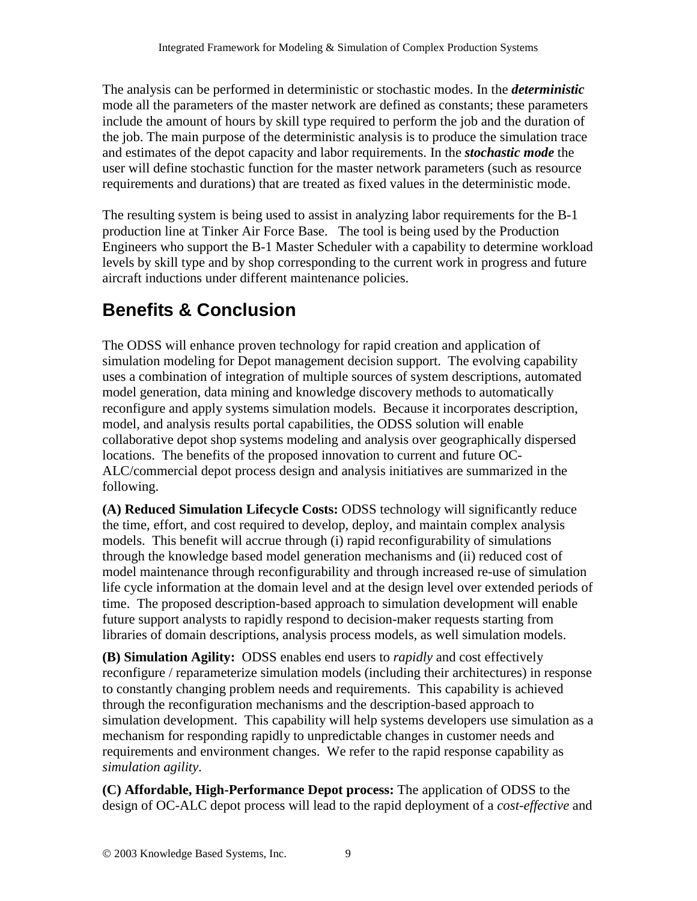The analysis can be performed in deterministic or stochastic modes. In the *deterministic* mode all the parameters of the master network are defined as constants; these parameters include the amount of hours by skill type required to perform the job and the duration of the job. The main purpose of the deterministic analysis is to produce the simulation trace and estimates of the depot capacity and labor requirements. In the *stochastic mode* the user will define stochastic function for the master network parameters (such as resource requirements and durations) that are treated as fixed values in the deterministic mode.

The resulting system is being used to assist in analyzing labor requirements for the B-1 production line at Tinker Air Force Base. The tool is being used by the Production Engineers who support the B-1 Master Scheduler with a capability to determine workload levels by skill type and by shop corresponding to the current work in progress and future aircraft inductions under different maintenance policies.

# **Benefits & Conclusion**

The ODSS will enhance proven technology for rapid creation and application of simulation modeling for Depot management decision support. The evolving capability uses a combination of integration of multiple sources of system descriptions, automated model generation, data mining and knowledge discovery methods to automatically reconfigure and apply systems simulation models. Because it incorporates description, model, and analysis results portal capabilities, the ODSS solution will enable collaborative depot shop systems modeling and analysis over geographically dispersed locations. The benefits of the proposed innovation to current and future OC-ALC/commercial depot process design and analysis initiatives are summarized in the following.

**(A) Reduced Simulation Lifecycle Costs:** ODSS technology will significantly reduce the time, effort, and cost required to develop, deploy, and maintain complex analysis models. This benefit will accrue through (i) rapid reconfigurability of simulations through the knowledge based model generation mechanisms and (ii) reduced cost of model maintenance through reconfigurability and through increased re-use of simulation life cycle information at the domain level and at the design level over extended periods of time. The proposed description-based approach to simulation development will enable future support analysts to rapidly respond to decision-maker requests starting from libraries of domain descriptions, analysis process models, as well simulation models.

**(B) Simulation Agility:** ODSS enables end users to *rapidly* and cost effectively reconfigure / reparameterize simulation models (including their architectures) in response to constantly changing problem needs and requirements. This capability is achieved through the reconfiguration mechanisms and the description-based approach to simulation development. This capability will help systems developers use simulation as a mechanism for responding rapidly to unpredictable changes in customer needs and requirements and environment changes. We refer to the rapid response capability as *simulation agility*.

**(C) Affordable, High-Performance Depot process:** The application of ODSS to the design of OC-ALC depot process will lead to the rapid deployment of a *cost-effective* and